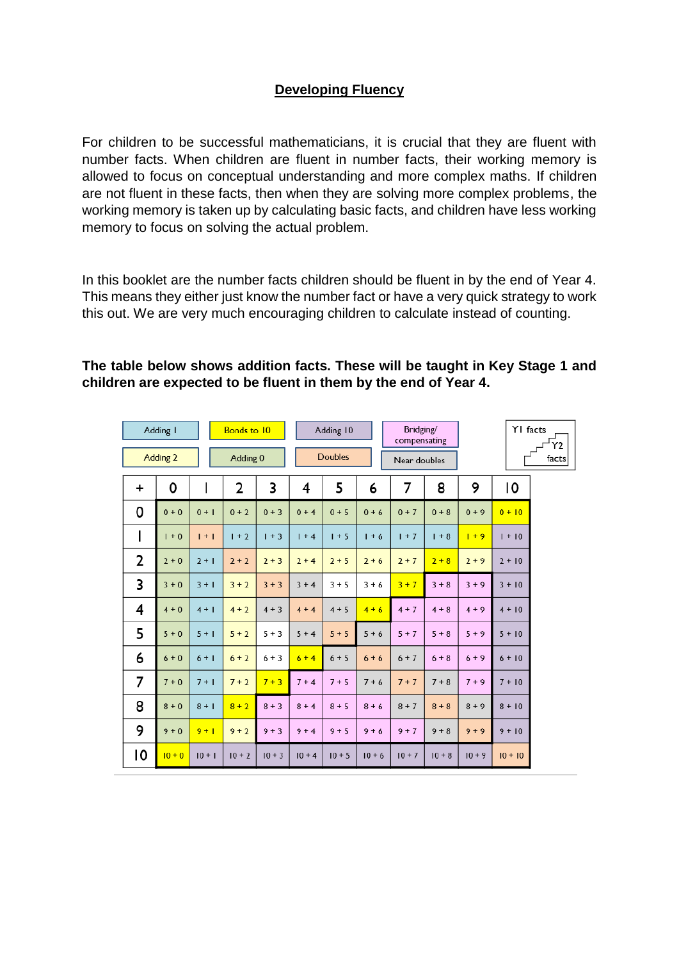## **Developing Fluency**

For children to be successful mathematicians, it is crucial that they are fluent with number facts. When children are fluent in number facts, their working memory is allowed to focus on conceptual understanding and more complex maths. If children are not fluent in these facts, then when they are solving more complex problems, the working memory is taken up by calculating basic facts, and children have less working memory to focus on solving the actual problem.

In this booklet are the number facts children should be fluent in by the end of Year 4. This means they either just know the number fact or have a very quick strategy to work this out. We are very much encouraging children to calculate instead of counting.

| Adding I  |          |          | <b>Bonds to 10</b> |          |                | Adding 10 |          |              | Bridging/<br>compensating |          | YI facts  | Υ2 |
|-----------|----------|----------|--------------------|----------|----------------|-----------|----------|--------------|---------------------------|----------|-----------|----|
| Adding 2  |          | Adding 0 |                    |          | <b>Doubles</b> |           |          | Near doubles |                           | facts    |           |    |
| $\ddot{}$ | 0        |          | $\overline{2}$     | 3        | 4              | 5         | 6        | 7            | 8                         | 9        | 10        |    |
| 0         | $0 + 0$  | $0 + 1$  | $0 + 2$            | $0 + 3$  | $0 + 4$        | $0 + 5$   | $0 + 6$  | $0 + 7$      | $0 + 8$                   | $0 + 9$  | $0 + 10$  |    |
|           | $1 + 0$  | $1 + 1$  | $1 + 2$            | $1 + 3$  | $1 + 4$        | $1 + 5$   | $1 + 6$  | $1 + 7$      | $1 + 8$                   | $1 + 9$  | $1 + 10$  |    |
| 2         | $2 + 0$  | $2 + 1$  | $2 + 2$            | $2 + 3$  | $2 + 4$        | $2 + 5$   | $2 + 6$  | $2 + 7$      | $2 + 8$                   | $2 + 9$  | $2 + 10$  |    |
| 3         | $3 + 0$  | $3 + 1$  | $3 + 2$            | $3 + 3$  | $3 + 4$        | $3 + 5$   | $3 + 6$  | $3 + 7$      | $3 + 8$                   | $3 + 9$  | $3 + 10$  |    |
| 4         | $4 + 0$  | $4 + 1$  | $4 + 2$            | $4 + 3$  | $4 + 4$        | $4 + 5$   | $4 + 6$  | $4 + 7$      | $4 + 8$                   | $4 + 9$  | $4 + 10$  |    |
| 5         | $5+0$    | $5 + 1$  | $5 + 2$            | $5 + 3$  | $5 + 4$        | $5 + 5$   | $5 + 6$  | $5 + 7$      | $5 + 8$                   | $5 + 9$  | $5 + 10$  |    |
| 6         | $6 + 0$  | $6 + 1$  | $6 + 2$            | $6 + 3$  | $6 + 4$        | $6 + 5$   | $6 + 6$  | $6 + 7$      | $6 + 8$                   | $6 + 9$  | $6 + 10$  |    |
| 7         | $7 + 0$  | $7 + 1$  | $7 + 2$            | $7 + 3$  | $7 + 4$        | $7 + 5$   | $7 + 6$  | $7 + 7$      | $7 + 8$                   | $7 + 9$  | $7 + 10$  |    |
| 8         | $8 + 0$  | $8 + 1$  | $8 + 2$            | $8 + 3$  | $8 + 4$        | $8 + 5$   | $8 + 6$  | $8 + 7$      | $8 + 8$                   | $8 + 9$  | $8 + 10$  |    |
| 9         | $9 + 0$  | $9 + 1$  | $9 + 2$            | $9 + 3$  | $9 + 4$        | $9 + 5$   | $9 + 6$  | $9 + 7$      | $9 + 8$                   | $9 + 9$  | $9 + 10$  |    |
| ۱0        | $10 + 0$ | $10 + 1$ | $10 + 2$           | $10 + 3$ | $10 + 4$       | $10 + 5$  | $10 + 6$ | $10 + 7$     | $10 + 8$                  | $10 + 9$ | $10 + 10$ |    |

 $\overline{10}$ 

## **The table below shows addition facts. These will be taught in Key Stage 1 and children are expected to be fluent in them by the end of Year 4.**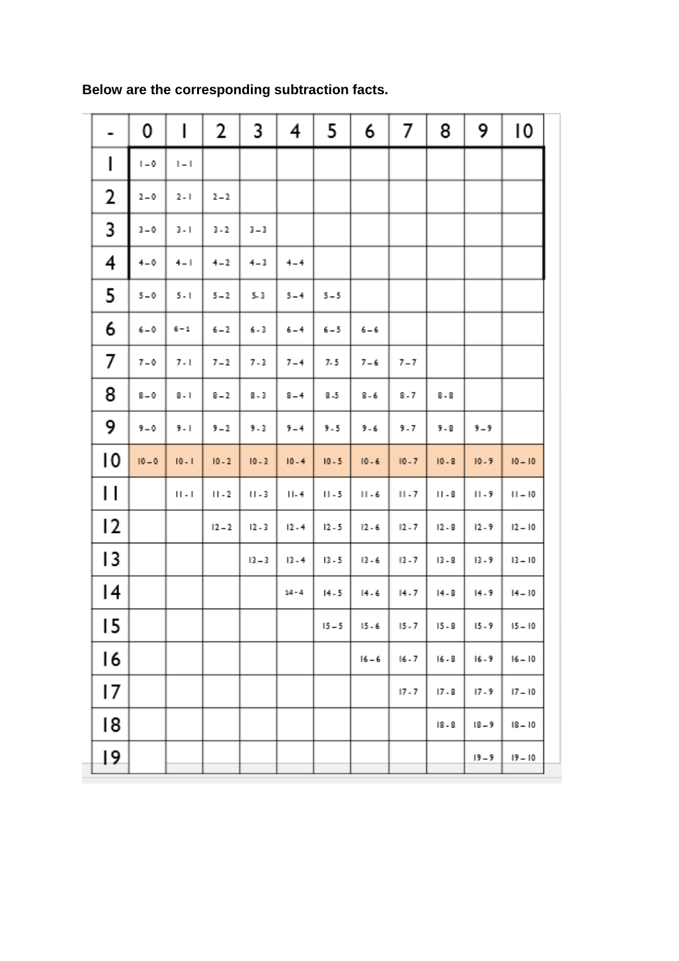|    | 0                         | I                      | 2        | 3        | 4        | 5        | 6        | 7        | 8        | 9        | 10        |
|----|---------------------------|------------------------|----------|----------|----------|----------|----------|----------|----------|----------|-----------|
| I  | $\mathsf{I} = \mathsf{0}$ | $\  \_ \ $             |          |          |          |          |          |          |          |          |           |
| 2  | $2 - 0$                   | $2 - 1$                | $2 - 2$  |          |          |          |          |          |          |          |           |
| 3  | $3 - 0$                   | $3 - 1$                | $3 - 2$  | $3 - 3$  |          |          |          |          |          |          |           |
| 4  | $4 - 0$                   | $4 - 1$                | $4 - 2$  | $4 - 3$  | $4 - 4$  |          |          |          |          |          |           |
| 5  | $5 - 0$                   | $5 - 1$                | $5 - 2$  | $5 - 3$  | $5 - 4$  | $5 - 5$  |          |          |          |          |           |
| 6  | $6 - 0$                   | $6 - 1$                | $6 - 2$  | $6 - 3$  | $6 - 4$  | $6 - 5$  | $6 - 6$  |          |          |          |           |
| 7  | $7 - 0$                   | $7 - 1$                | $7 - 2$  | $7 - 3$  | $7 - 4$  | 7.5      | $7 - 6$  | $7 - 7$  |          |          |           |
| 8  | $8-0$                     | $8 - 1$                | $8 - 2$  | $8 - 3$  | $8 - 4$  | $8-5$    | $8 - 6$  | $8 - 7$  | $8 - 8$  |          |           |
| 9  | $9 - 0$                   | $9 - 1$                | $9 - 2$  | $9 - 3$  | $9 - 4$  | $9 - 5$  | 9.6      | 9.7      | 9.8      | 9-9      |           |
| 10 | $10 - 0$                  | $10 - 1$               | $10 - 2$ | $10 - 3$ | $10 - 4$ | $10 - 5$ | $10 - 6$ | $10 - 7$ | $10 - 8$ | $10 - 9$ | $10 - 10$ |
| П  |                           | $\vert\vert$ . $\vert$ | $11 - 2$ | $11 - 3$ | $11 - 4$ | $11 - 5$ | $11 - 6$ | $11 - 7$ | $11 - 8$ | $11 - 9$ | $11 - 10$ |
| 12 |                           |                        | $12 - 2$ | $12 - 3$ | $12 - 4$ | $12 - 5$ | $12 - 6$ | $12 - 7$ | $12 - 8$ | $12 - 9$ | $12 - 10$ |
| 13 |                           |                        |          | $13 - 3$ | $13 - 4$ | $13 - 5$ | $13 - 6$ | $13 - 7$ | $13 - 8$ | $13 - 9$ | $13 - 10$ |
| 14 |                           |                        |          |          | $14 - 4$ | $14 - 5$ | $14 - 6$ | $14 - 7$ | $14 - 8$ | $14 - 9$ | $14 - 10$ |
| 15 |                           |                        |          |          |          | $15 - 5$ | $15 - 6$ | $15 - 7$ | $15 - 8$ | 15.9     | $15 - 10$ |
| 16 |                           |                        |          |          |          |          | $16 - 6$ | $16 - 7$ | $16 - 8$ | $16 - 9$ | $16 - 10$ |
| 17 |                           |                        |          |          |          |          |          | $17 - 7$ | $17 - 8$ | $17 - 9$ | $17 - 10$ |
| 18 |                           |                        |          |          |          |          |          |          | $18 - 8$ | $18 - 9$ | $18 - 10$ |
| 19 |                           |                        |          |          |          |          |          |          |          | $19 - 9$ | $19 - 10$ |

**Below are the corresponding subtraction facts.**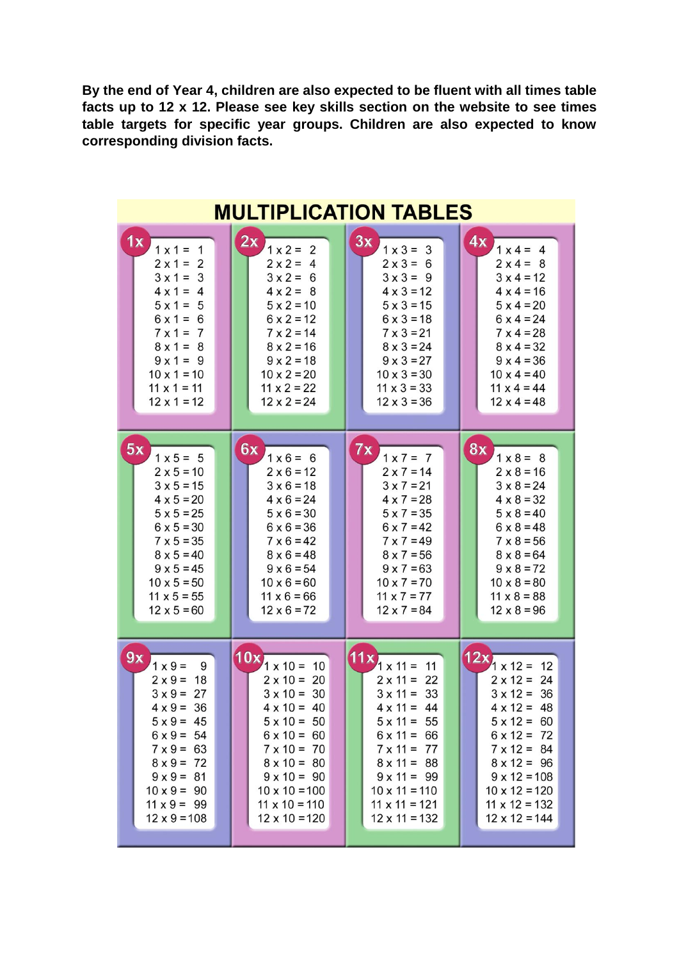**By the end of Year 4, children are also expected to be fluent with all times table facts up to 12 x 12. Please see key skills section on the website to see times table targets for specific year groups. Children are also expected to know corresponding division facts.**